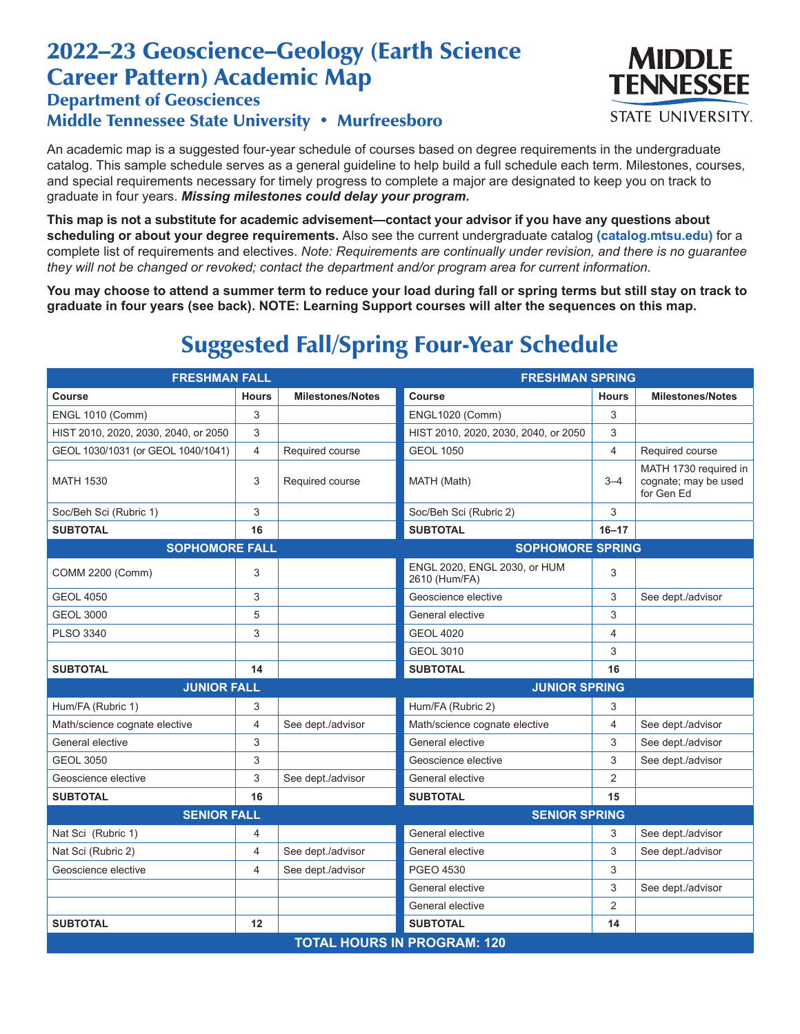## 2022–23 Geoscience–Geology (Earth Science Career Pattern) Academic Map

## Department of Geosciences Middle Tennessee State University • Murfreesboro

An academic map is a suggested four-year schedule of courses based on degree requirements in the undergraduate catalog. This sample schedule serves as a general guideline to help build a full schedule each term. Milestones, courses, and special requirements necessary for timely progress to complete a major are designated to keep you on track to graduate in four years. *Missing milestones could delay your program.*

**This map is not a substitute for academic advisement—contact your advisor if you have any questions about scheduling or about your degree requirements.** Also see the current undergraduate catalog **(catalog.mtsu.edu)** for a complete list of requirements and electives. *Note: Requirements are continually under revision, and there is no guarantee they will not be changed or revoked; contact the department and/or program area for current information.*

**You may choose to attend a summer term to reduce your load during fall or spring terms but still stay on track to graduate in four years (see back). NOTE: Learning Support courses will alter the sequences on this map.**

## Suggested Fall/Spring Four-Year Schedule

| <b>FRESHMAN FALL</b>                 |                |                         | <b>FRESHMAN SPRING</b>                        |                |                                                             |  |  |
|--------------------------------------|----------------|-------------------------|-----------------------------------------------|----------------|-------------------------------------------------------------|--|--|
| <b>Course</b>                        | <b>Hours</b>   | <b>Milestones/Notes</b> | <b>Course</b>                                 | <b>Hours</b>   | <b>Milestones/Notes</b>                                     |  |  |
| <b>ENGL 1010 (Comm)</b>              | 3              |                         | <b>ENGL1020 (Comm)</b>                        | 3              |                                                             |  |  |
| HIST 2010, 2020, 2030, 2040, or 2050 | 3              |                         | HIST 2010, 2020, 2030, 2040, or 2050          | 3              |                                                             |  |  |
| GEOL 1030/1031 (or GEOL 1040/1041)   | $\overline{4}$ | Required course         | <b>GEOL 1050</b>                              | $\overline{4}$ | Required course                                             |  |  |
| <b>MATH 1530</b>                     | 3              | Required course         | MATH (Math)                                   | $3 - 4$        | MATH 1730 required in<br>cognate; may be used<br>for Gen Ed |  |  |
| Soc/Beh Sci (Rubric 1)               | 3              |                         | Soc/Beh Sci (Rubric 2)                        | 3              |                                                             |  |  |
| <b>SUBTOTAL</b>                      | 16             |                         | <b>SUBTOTAL</b>                               | $16 - 17$      |                                                             |  |  |
| <b>SOPHOMORE FALL</b>                |                | <b>SOPHOMORE SPRING</b> |                                               |                |                                                             |  |  |
| COMM 2200 (Comm)                     | 3              |                         | ENGL 2020, ENGL 2030, or HUM<br>2610 (Hum/FA) | 3              |                                                             |  |  |
| <b>GEOL 4050</b>                     | 3              |                         | Geoscience elective                           | 3              | See dept./advisor                                           |  |  |
| <b>GEOL 3000</b>                     | 5              |                         | General elective                              | 3              |                                                             |  |  |
| <b>PLSO 3340</b>                     | 3              |                         | <b>GEOL 4020</b>                              | 4              |                                                             |  |  |
|                                      |                |                         | <b>GEOL 3010</b>                              | 3              |                                                             |  |  |
| <b>SUBTOTAL</b>                      | 14             |                         | <b>SUBTOTAL</b>                               | 16             |                                                             |  |  |
| <b>JUNIOR FALL</b>                   |                | <b>JUNIOR SPRING</b>    |                                               |                |                                                             |  |  |
| Hum/FA (Rubric 1)                    | 3              |                         | Hum/FA (Rubric 2)                             | 3              |                                                             |  |  |
| Math/science cognate elective        | 4              | See dept./advisor       | Math/science cognate elective                 | 4              | See dept./advisor                                           |  |  |
| General elective                     | 3              |                         | General elective                              | 3              | See dept./advisor                                           |  |  |
| <b>GEOL 3050</b>                     | 3              |                         | Geoscience elective                           | 3              | See dept./advisor                                           |  |  |
| Geoscience elective                  | 3              | See dept./advisor       | General elective                              | $\overline{2}$ |                                                             |  |  |
| <b>SUBTOTAL</b>                      | 16             |                         | <b>SUBTOTAL</b>                               | 15             |                                                             |  |  |
| <b>SENIOR FALL</b>                   |                |                         | <b>SENIOR SPRING</b>                          |                |                                                             |  |  |
| Nat Sci (Rubric 1)                   | 4              |                         | General elective                              | 3              | See dept./advisor                                           |  |  |
| Nat Sci (Rubric 2)                   | $\overline{4}$ | See dept./advisor       | General elective                              | 3              | See dept./advisor                                           |  |  |
| Geoscience elective                  | $\overline{4}$ | See dept./advisor       | PGEO 4530                                     | 3              |                                                             |  |  |
|                                      |                |                         | General elective                              | 3              | See dept./advisor                                           |  |  |
|                                      |                |                         | General elective                              | $\overline{2}$ |                                                             |  |  |
| <b>SUBTOTAL</b>                      | 12             |                         | <b>SUBTOTAL</b>                               | 14             |                                                             |  |  |
| <b>TOTAL HOURS IN PROGRAM: 120</b>   |                |                         |                                               |                |                                                             |  |  |